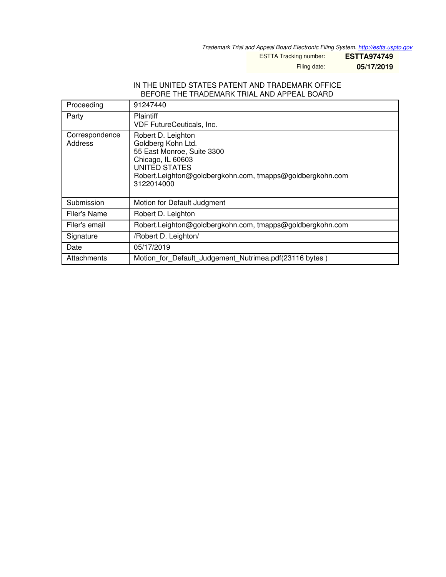*Trademark Trial and Appeal Board Electronic Filing System. <http://estta.uspto.gov>*

ESTTA Tracking number: **ESTTA974749**

Filing date: **05/17/2019**

## IN THE UNITED STATES PATENT AND TRADEMARK OFFICE BEFORE THE TRADEMARK TRIAL AND APPEAL BOARD

| Proceeding                | 91247440                                                                                                                                                                                |
|---------------------------|-----------------------------------------------------------------------------------------------------------------------------------------------------------------------------------------|
| Party                     | <b>Plaintiff</b><br><b>VDF FutureCeuticals, Inc.</b>                                                                                                                                    |
| Correspondence<br>Address | Robert D. Leighton<br>Goldberg Kohn Ltd.<br>55 East Monroe, Suite 3300<br>Chicago, IL 60603<br>UNITED STATES<br>Robert.Leighton@goldbergkohn.com, tmapps@goldbergkohn.com<br>3122014000 |
| Submission                | Motion for Default Judgment                                                                                                                                                             |
| Filer's Name              | Robert D. Leighton                                                                                                                                                                      |
| Filer's email             | Robert.Leighton@goldbergkohn.com, tmapps@goldbergkohn.com                                                                                                                               |
| Signature                 | /Robert D. Leighton/                                                                                                                                                                    |
| Date                      | 05/17/2019                                                                                                                                                                              |
| Attachments               | Motion for Default Judgement Nutrimea.pdf(23116 bytes)                                                                                                                                  |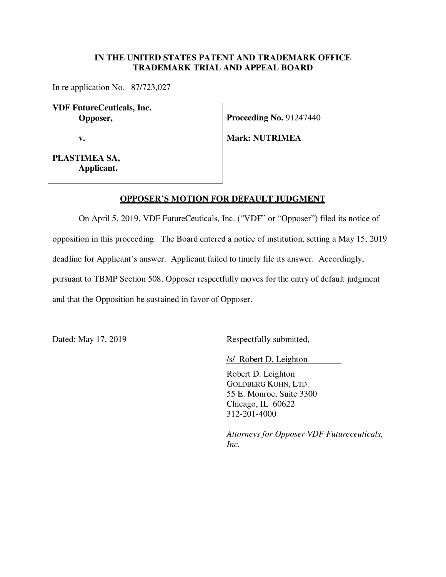## **IN THE UNITED STATES PATENT AND TRADEMARK OFFICE TRADEMARK TRIAL AND APPEAL BOARD**

In re application No. 87/723,027

**VDF FutureCeuticals, Inc. Opposer,** 

 **v.** 

**Proceeding No. 91247440** 

**Mark: NUTRIMEA** 

**PLASTIMEA SA, Applicant.**

## **OPPOSER'S MOTION FOR DEFAULT JUDGMENT**

On April 5, 2019, VDF FutureCeuticals, Inc. ("VDF" or "Opposer") filed its notice of opposition in this proceeding. The Board entered a notice of institution, setting a May 15, 2019 deadline for Applicant's answer. Applicant failed to timely file its answer. Accordingly, pursuant to TBMP Section 508, Opposer respectfully moves for the entry of default judgment and that the Opposition be sustained in favor of Opposer.

Dated: May 17, 2019 Respectfully submitted,

/s/ Robert D. Leighton

Robert D. Leighton GOLDBERG KOHN, LTD. 55 E. Monroe, Suite 3300 Chicago, IL 60622 312-201-4000

*Attorneys for Opposer VDF Futureceuticals, Inc.*